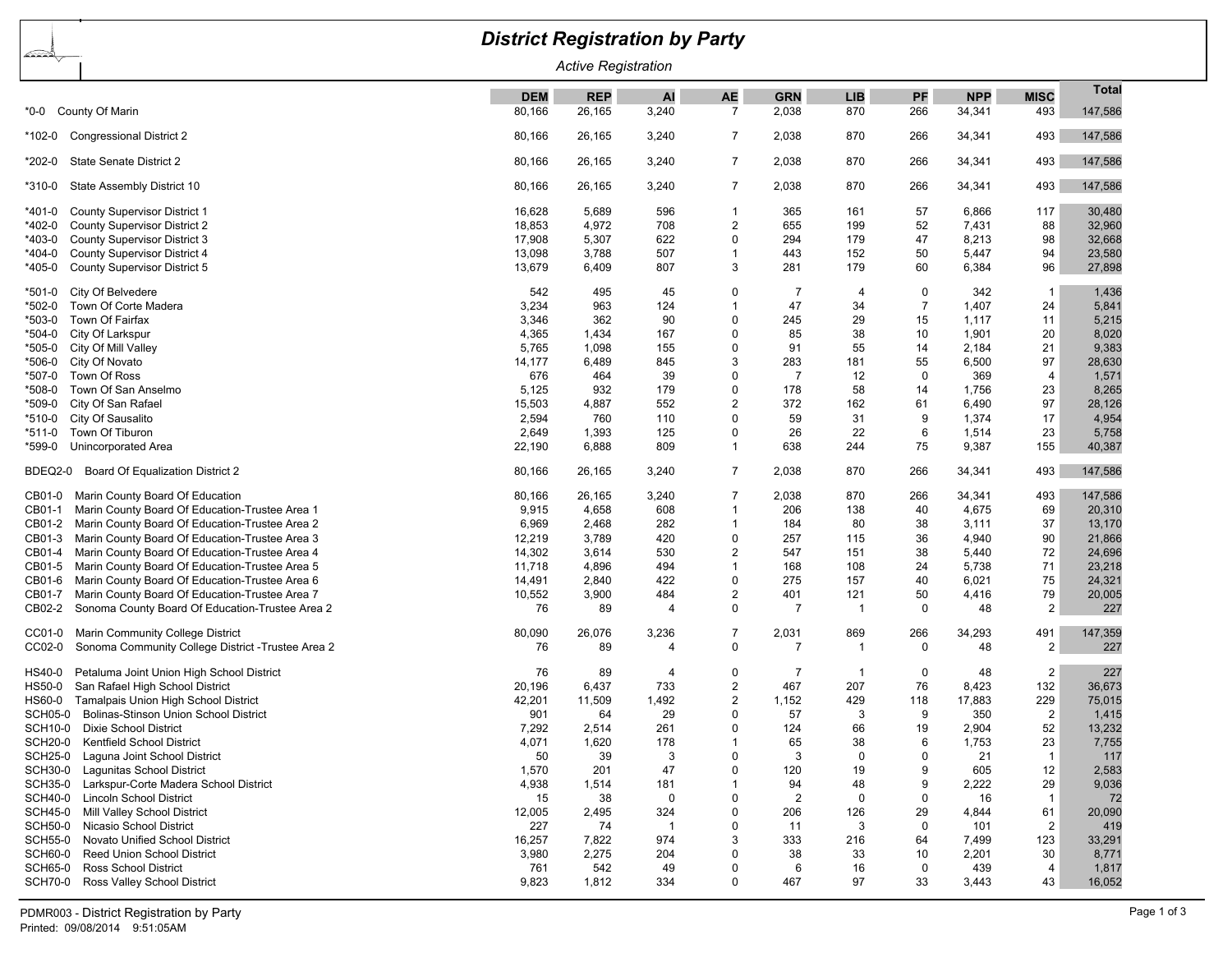| <b>District Registration by Party</b>                          |            |            |             |                         |                |                |                |            |                         |              |  |
|----------------------------------------------------------------|------------|------------|-------------|-------------------------|----------------|----------------|----------------|------------|-------------------------|--------------|--|
| <u>bardang</u><br><b>Active Registration</b>                   |            |            |             |                         |                |                |                |            |                         |              |  |
|                                                                | <b>DEM</b> | <b>REP</b> | Al          | <b>AE</b>               | <b>GRN</b>     | <b>LIB</b>     | PF             | <b>NPP</b> | <b>MISC</b>             | <b>Total</b> |  |
| County Of Marin<br>*0-0                                        | 80,166     | 26,165     | 3,240       | $\overline{7}$          | 2,038          | 870            | 266            | 34,341     | 493                     | 147,586      |  |
| <b>Congressional District 2</b><br>*102-0                      | 80,166     | 26,165     | 3,240       | 7                       | 2,038          | 870            | 266            | 34,341     | 493                     | 147,586      |  |
| <b>State Senate District 2</b><br>*202-0                       | 80,166     | 26,165     | 3,240       | $\overline{7}$          | 2,038          | 870            | 266            | 34,341     | 493                     | 147,586      |  |
| State Assembly District 10<br>*310-0                           | 80,166     | 26,165     | 3,240       | $\overline{7}$          | 2,038          | 870            | 266            | 34,341     | 493                     | 147,586      |  |
| <b>County Supervisor District 1</b><br>*401-0                  | 16,628     | 5,689      | 596         | -1                      | 365            | 161            | 57             | 6,866      | 117                     | 30,480       |  |
| <b>County Supervisor District 2</b><br>*402-0                  | 18,853     | 4,972      | 708         | 2                       | 655            | 199            | 52             | 7,431      | 88                      | 32,960       |  |
| *403-0<br>County Supervisor District 3                         | 17,908     | 5,307      | 622         | 0                       | 294            | 179            | 47             | 8,213      | 98                      | 32,668       |  |
| County Supervisor District 4<br>*404-0                         | 13,098     | 3,788      | 507         | 1                       | 443            | 152            | 50             | 5,447      | 94                      | 23,580       |  |
| County Supervisor District 5<br>*405-0                         | 13,679     | 6,409      | 807         | 3                       | 281            | 179            | 60             | 6,384      | 96                      | 27,898       |  |
| City Of Belvedere<br>*501-0                                    | 542        | 495        | 45          | 0                       | 7              | $\overline{4}$ | 0              | 342        | $\mathbf{1}$            | 1,436        |  |
| *502-0<br>Town Of Corte Madera                                 | 3,234      | 963        | 124         | $\overline{1}$          | 47             | 34             | $\overline{7}$ | 1,407      | 24                      | 5,841        |  |
| *503-0<br>Town Of Fairfax                                      | 3,346      | 362        | 90          | 0                       | 245            | 29             | 15             | 1,117      | 11                      | 5,215        |  |
| City Of Larkspur<br>*504-0                                     | 4,365      | 1,434      | 167         | 0                       | 85             | 38             | 10             | 1,901      | 20                      | 8,020        |  |
| *505-0<br>City Of Mill Valley                                  | 5,765      | 1,098      | 155         | 0                       | 91             | 55             | 14             | 2,184      | 21                      | 9,383        |  |
| City Of Novato<br>*506-0                                       | 14,177     | 6,489      | 845         | 3                       | 283            | 181            | 55             | 6,500      | 97                      | 28,630       |  |
| *507-0<br>Town Of Ross                                         | 676        | 464        | 39          | 0                       | $\overline{7}$ | 12             | $\mathbf 0$    | 369        | $\overline{4}$          | 1,571        |  |
| Town Of San Anselmo<br>*508-0                                  | 5,125      | 932        | 179         | 0                       | 178            | 58             | 14             | 1,756      | 23                      | 8,265        |  |
| *509-0<br>City Of San Rafael                                   | 15,503     | 4,887      | 552         | $\overline{2}$          | 372            | 162            | 61             | 6,490      | 97                      | 28,126       |  |
| City Of Sausalito<br>*510-0                                    | 2,594      | 760        | 110         | 0                       | 59             | 31             | 9              | 1,374      | 17                      | 4,954        |  |
| *511-0<br>Town Of Tiburon                                      | 2,649      | 1,393      | 125         | 0<br>$\mathbf{1}$       | 26             | 22             | 6              | 1,514      | 23                      | 5,758        |  |
| Unincorporated Area<br>*599-0                                  | 22,190     | 6,888      | 809         |                         | 638            | 244            | 75             | 9,387      | 155                     | 40,387       |  |
| Board Of Equalization District 2<br>BDEQ2-0                    | 80,166     | 26,165     | 3,240       | $\overline{7}$          | 2,038          | 870            | 266            | 34,341     | 493                     | 147,586      |  |
| Marin County Board Of Education<br>CB01-0                      | 80,166     | 26,165     | 3,240       | 7                       | 2,038          | 870            | 266            | 34,341     | 493                     | 147,586      |  |
| Marin County Board Of Education-Trustee Area 1<br>CB01-1       | 9,915      | 4,658      | 608         | 1                       | 206            | 138            | 40             | 4,675      | 69                      | 20,310       |  |
| CB01-2<br>Marin County Board Of Education-Trustee Area 2       | 6,969      | 2,468      | 282         | 1                       | 184            | 80             | 38             | 3,111      | 37                      | 13,170       |  |
| Marin County Board Of Education-Trustee Area 3<br>CB01-3       | 12,219     | 3,789      | 420         | 0                       | 257            | 115            | 36             | 4,940      | 90                      | 21,866       |  |
| Marin County Board Of Education-Trustee Area 4<br>CB01-4       | 14,302     | 3,614      | 530         | 2                       | 547            | 151            | 38             | 5,440      | 72                      | 24,696       |  |
| CB01-5<br>Marin County Board Of Education-Trustee Area 5       | 11,718     | 4,896      | 494         | 1                       | 168            | 108            | 24             | 5,738      | 71                      | 23,218       |  |
| CB01-6<br>Marin County Board Of Education-Trustee Area 6       | 14,491     | 2,840      | 422         | 0                       | 275            | 157            | 40             | 6,021      | 75                      | 24,321       |  |
| Marin County Board Of Education-Trustee Area 7<br>CB01-7       | 10,552     | 3,900      | 484         | $\overline{c}$          | 401            | 121            | 50             | 4,416      | 79                      | 20,005       |  |
| Sonoma County Board Of Education-Trustee Area 2<br>CB02-2      | 76         | 89         | 4           | 0                       | 7              | -1             | 0              | 48         | $\overline{2}$          | 227          |  |
| Marin Community College District<br>CC01-0                     | 80,090     | 26,076     | 3,236       | 7                       | 2,031          | 869            | 266            | 34,293     | 491                     | 147,359      |  |
| CC02-0<br>Sonoma Community College District - Trustee Area 2   | 76         | 89         | 4           | 0                       | $\overline{7}$ | -1             | 0              | 48         | $\overline{2}$          | 227          |  |
| Petaluma Joint Union High School District<br>HS40-0            | 76         | 89         | 4           | 0                       | 7              | -1             | 0              | 48         | $\overline{\mathbf{c}}$ | 227          |  |
| San Rafael High School District<br>HS50-0                      | 20,196     | 6,437      | 733         | $\overline{\mathbf{c}}$ | 467            | 207            | 76             | 8,423      | 132                     | 36,673       |  |
| Tamalpais Union High School District<br>HS60-0                 | 42,201     | 11,509     | 1,492       | $\overline{\mathbf{c}}$ | 1,152          | 429            | 118            | 17,883     | 229                     | 75,015       |  |
| <b>SCH05-0</b><br><b>Bolinas-Stinson Union School District</b> | 901        | 64         | 29          | 0                       | 57             | 3              | 9              | 350        | 2                       | 1,415        |  |
| <b>SCH10-0</b><br><b>Dixie School District</b>                 | 7,292      | 2,514      | 261         | 0                       | 124            | 66             | 19             | 2,904      | 52                      | 13,232       |  |
| <b>SCH20-0</b><br><b>Kentfield School District</b>             | 4,071      | 1,620      | 178         | 1                       | 65             | 38             | 6              | 1,753      | 23                      | 7,755        |  |
| <b>SCH25-0</b><br>Laguna Joint School District                 | 50         | 39         | 3           | $\Omega$                | 3              | $\mathbf 0$    | $\Omega$       | 21         | $\mathbf{1}$            | 117          |  |
| <b>SCH30-0</b><br>Lagunitas School District                    | 1,570      | 201        | 47          | 0                       | 120            | 19             | 9              | 605        | 12                      | 2,583        |  |
| <b>SCH35-0</b><br>Larkspur-Corte Madera School District        | 4,938      | 1,514      | 181         | 1                       | 94             | 48             | 9              | 2,222      | 29                      | 9,036        |  |
| <b>SCH40-0</b><br><b>Lincoln School District</b>               | 15         | 38         | $\mathbf 0$ | 0                       | $\overline{2}$ | $\mathbf 0$    | 0              | 16         | $\mathbf{1}$            | 72           |  |
| <b>SCH45-0</b><br>Mill Valley School District                  | 12,005     | 2,495      | 324         | 0                       | 206            | 126            | 29             | 4,844      | 61                      | 20,090       |  |
| <b>SCH50-0</b><br>Nicasio School District                      | 227        | 74         | -1          | 0                       | 11             | 3              | 0              | 101        | $\overline{2}$          | 419          |  |
| <b>SCH55-0</b><br>Novato Unified School District               | 16,257     | 7,822      | 974         | 3                       | 333            | 216            | 64             | 7,499      | 123                     | 33,291       |  |
| <b>SCH60-0</b><br><b>Reed Union School District</b>            | 3,980      | 2,275      | 204         | 0                       | 38             | 33             | 10             | 2,201      | 30                      | 8,771        |  |
| <b>SCH65-0</b><br><b>Ross School District</b>                  | 761        | 542        | 49          | 0                       | 6              | 16             | 0              | 439        | 4                       | 1,817        |  |
| <b>SCH70-0</b><br>Ross Valley School District                  | 9,823      | 1,812      | 334         | 0                       | 467            | 97             | 33             | 3,443      | 43                      | 16,052       |  |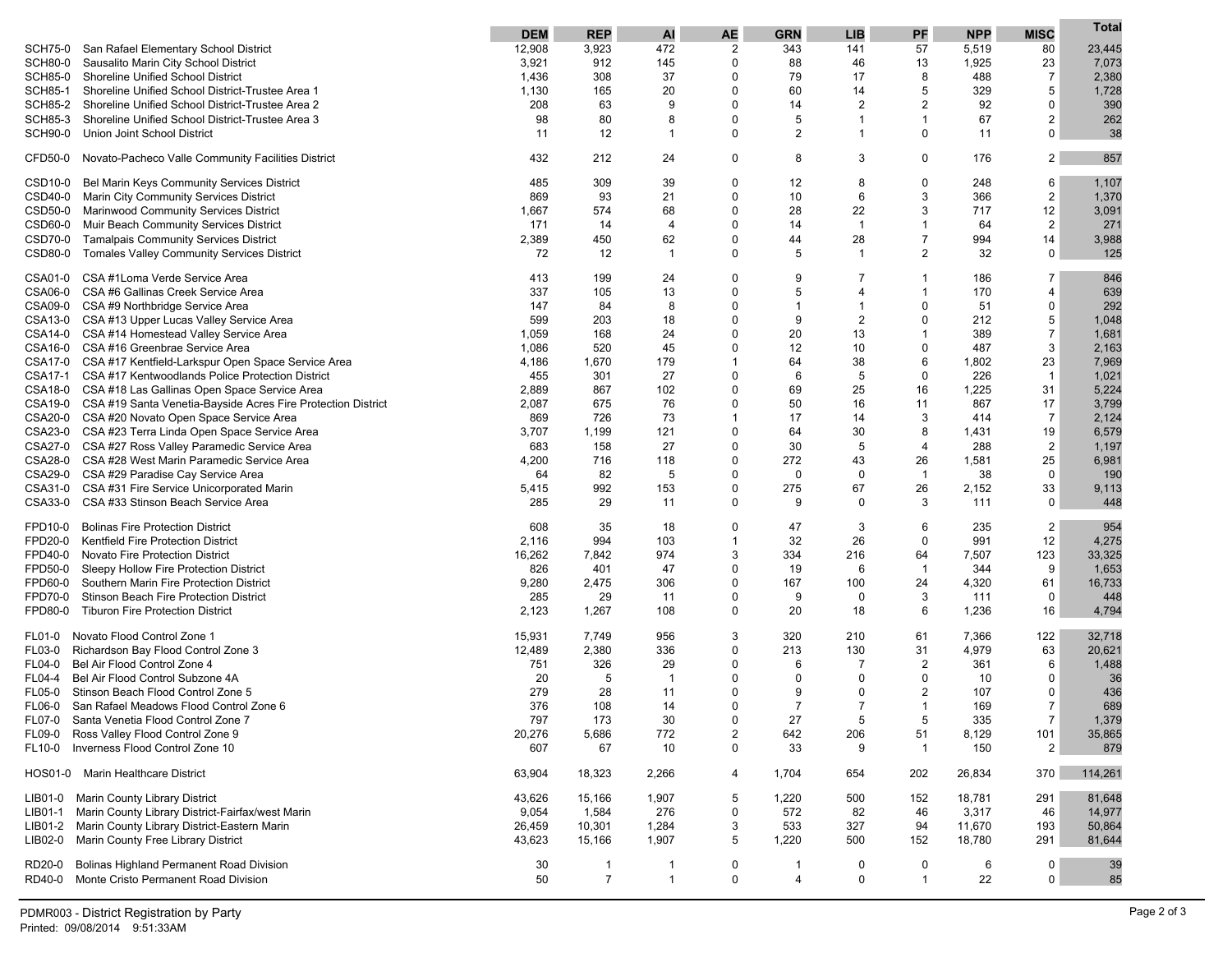| San Rafael Elementary School District<br>12,908<br>3,923<br>472<br>$\overline{2}$<br>57<br>80<br>23,445<br><b>SCH75-0</b><br>343<br>141<br>5,519<br>7,073<br>SCH80-0<br>Sausalito Marin City School District<br>3,921<br>912<br>145<br>0<br>88<br>46<br>13<br>1,925<br>23<br>308<br>37<br>79<br>8<br>$\overline{7}$<br><b>SCH85-0</b><br><b>Shoreline Unified School District</b><br>1,436<br>0<br>17<br>488<br>2,380<br>5<br>20<br>60<br>5<br>329<br><b>SCH85-1</b><br>Shoreline Unified School District-Trustee Area 1<br>1,130<br>165<br>0<br>14<br>1,728<br>2<br>$\overline{2}$<br>92<br>$\mathbf 0$<br>390<br><b>SCH85-2</b><br>Shoreline Unified School District-Trustee Area 2<br>208<br>63<br>9<br>0<br>14<br>80<br>5<br>67<br>$\overline{2}$<br>262<br><b>SCH85-3</b><br>Shoreline Unified School District-Trustee Area 3<br>98<br>8<br>0<br>1<br>1<br>2<br>$\Omega$<br>$\mathbf 0$<br>38<br><b>SCH90-0</b><br>Union Joint School District<br>11<br>12<br>1<br>0<br>$\mathbf 1$<br>11<br>$\overline{c}$<br>CFD50-0<br>Novato-Pacheco Valle Community Facilities District<br>432<br>212<br>24<br>0<br>8<br>3<br>0<br>176<br>857<br>39<br>12<br>6<br>Bel Marin Keys Community Services District<br>485<br>309<br>0<br>8<br>0<br>248<br>1,107<br>CSD <sub>10-0</sub><br>3<br>$\sqrt{2}$<br>869<br>21<br>$\Omega$<br>10<br>6<br>CSD40-0<br>Marin City Community Services District<br>93<br>366<br>1,370<br>22<br>3<br>12<br>Marinwood Community Services District<br>574<br>68<br>28<br>717<br>3,091<br>CSD50-0<br>1,667<br>0<br>$\overline{2}$<br>Muir Beach Community Services District<br>$\Omega$<br>14<br>$\mathbf{1}$<br>64<br>271<br>CSD60-0<br>171<br>14<br>$\overline{4}$<br>1<br>2,389<br>62<br>28<br>$\overline{7}$<br>994<br>14<br>3,988<br>CSD70-0<br><b>Tamalpais Community Services District</b><br>450<br>0<br>44<br>$\overline{2}$<br>0<br>5<br>32<br>125<br>CSD80-0<br><b>Tomales Valley Community Services District</b><br>72<br>12<br>$\mathbf 1$<br>$\mathbf{1}$<br>0<br>CSA #1Loma Verde Service Area<br>9<br>846<br>413<br>199<br>24<br>0<br>186<br>7<br>CSA01-0<br>7<br>CSA06-0<br>CSA #6 Gallinas Creek Service Area<br>337<br>105<br>13<br>5<br>170<br>639<br>0<br>4<br>4<br>8<br>$\Omega$<br>$\mathbf 0$<br>292<br>CSA09-0 CSA #9 Northbridge Service Area<br>147<br>84<br>0<br>$\mathbf 1$<br>$\mathbf 1$<br>51<br>5<br>599<br>203<br>18<br>9<br>$\overline{c}$<br>$\Omega$<br>212<br>CSA13-0 CSA #13 Upper Lucas Valley Service Area<br>0<br>1,048<br>$\overline{7}$<br>CSA14-0 CSA #14 Homestead Valley Service Area<br>1,059<br>20<br>13<br>389<br>168<br>24<br>0<br>1<br>1,681<br>3<br>CSA16-0 CSA #16 Greenbrae Service Area<br>520<br>45<br>12<br>10<br>$\Omega$<br>487<br>2,163<br>1,086<br>0<br>CSA17-0 CSA #17 Kentfield-Larkspur Open Space Service Area<br>1,670<br>179<br>64<br>38<br>6<br>23<br>7,969<br>4,186<br>$\mathbf 1$<br>1,802<br>CSA17-1 CSA #17 Kentwoodlands Police Protection District<br>455<br>301<br>27<br>6<br>5<br>0<br>226<br>$\overline{1}$<br>1,021<br>0<br>CSA18-0 CSA #18 Las Gallinas Open Space Service Area<br>2,889<br>102<br>69<br>25<br>16<br>1,225<br>5,224<br>867<br>0<br>31<br>2,087<br>675<br>76<br>50<br>16<br>11<br>867<br>17<br>3,799<br>CSA19-0 CSA #19 Santa Venetia-Bayside Acres Fire Protection District<br>0<br>CSA20-0 CSA #20 Novato Open Space Service Area<br>726<br>73<br>17<br>3<br>$\overline{7}$<br>2,124<br>869<br>1<br>14<br>414<br>CSA23-0 CSA #23 Terra Linda Open Space Service Area<br>1,199<br>121<br>30<br>8<br>19<br>6,579<br>3,707<br>0<br>64<br>1,431<br>CSA27-0 CSA #27 Ross Valley Paramedic Service Area<br>683<br>27<br>30<br>$\overline{4}$<br>$\overline{2}$<br>1,197<br>158<br>0<br>5<br>288<br>CSA28-0 CSA #28 West Marin Paramedic Service Area<br>272<br>43<br>26<br>25<br>6,981<br>4,200<br>716<br>118<br>0<br>1,581<br>CSA29-0 CSA #29 Paradise Cay Service Area<br>82<br>0<br>38<br>$\mathbf 0$<br>190<br>64<br>5<br>0<br>0<br>$\mathbf{1}$<br>CSA31-0 CSA #31 Fire Service Unicorporated Marin<br>992<br>275<br>26<br>33<br>5,415<br>153<br>0<br>67<br>2,152<br>9,113<br>CSA33-0 CSA #33 Stinson Beach Service Area<br>9<br>3<br>$\mathbf 0$<br>285<br>29<br>11<br>0<br>0<br>111<br>448<br><b>Bolinas Fire Protection District</b><br>47<br>3<br>6<br>2<br>FPD10-0<br>608<br>35<br>18<br>0<br>235<br>954<br>$\Omega$<br>12<br>4,275<br>FPD20-0<br>Kentfield Fire Protection District<br>2,116<br>994<br>103<br>-1<br>32<br>26<br>991<br>33,325<br>FPD40-0<br><b>Novato Fire Protection District</b><br>16,262<br>7,842<br>974<br>3<br>334<br>216<br>64<br>7,507<br>123<br>9<br>FPD50-0<br>Sleepy Hollow Fire Protection District<br>826<br>401<br>47<br>0<br>19<br>6<br>344<br>1,653<br>-1<br>16,733<br>FPD60-0<br>Southern Marin Fire Protection District<br>9,280<br>2,475<br>306<br>167<br>100<br>24<br>4,320<br>61<br>0<br>FPD70-0<br>Stinson Beach Fire Protection District<br>285<br>29<br>9<br>0<br>3<br>111<br>0<br>448<br>11<br>0<br><b>Tiburon Fire Protection District</b><br>6<br>FPD80-0<br>2,123<br>1,267<br>108<br>0<br>20<br>18<br>1,236<br>16<br>4,794<br>Novato Flood Control Zone 1<br>3<br>15,931<br>7,749<br>956<br>320<br>210<br>61<br>7,366<br>122<br>32,718<br><b>FL01-0</b><br>2,380<br>336<br>213<br>130<br>63<br>FL03-0<br>Richardson Bay Flood Control Zone 3<br>12,489<br>0<br>31<br>4,979<br>20,621<br>29<br>6<br>$\overline{2}$<br>6<br>Bel Air Flood Control Zone 4<br>751<br>326<br>0<br>7<br>361<br>1,488<br>FL04-0<br>5<br>0<br>Bel Air Flood Control Subzone 4A<br>20<br>0<br>0<br>0<br>10<br>0<br>FL04-4<br>-1<br>-36<br>$\overline{2}$<br>279<br>28<br>9<br>0<br>Stinson Beach Flood Control Zone 5<br>11<br>0<br>$\Omega$<br>107<br>436<br>FL05-0<br>$\overline{7}$<br>$\overline{7}$<br>376<br>108<br>$\overline{7}$<br>689<br>14<br>0<br>1<br>169<br><b>FL06-0</b><br>San Rafael Meadows Flood Control Zone 6<br>27<br>$\overline{7}$<br>1,379<br>FL07-0<br>797<br>173<br>30<br>5<br>5<br>335<br>Santa Venetia Flood Control Zone 7<br>$\Omega$<br>772<br>20,276<br>5,686<br>2<br>642<br>206<br>51<br>101<br>35,865<br>FL09-0<br>Ross Valley Flood Control Zone 9<br>8,129<br>Inverness Flood Control Zone 10<br>$\mathbf 0$<br>33<br>9<br>2<br>879<br>FL10-0<br>607<br>67<br>10<br>150<br>$\mathbf 1$<br>63,904<br>654<br>26,834<br>114,261<br>Marin Healthcare District<br>18,323<br>2,266<br>1,704<br>202<br>370<br>4<br>Marin County Library District<br>43,626<br>15,166<br>1,907<br>1,220<br>500<br>152<br>18,781<br>291<br>81,648<br>LIB01-0<br>5<br>Marin County Library District-Fairfax/west Marin<br>9,054<br>276<br>82<br>14,977<br>LIB01-1<br>1,584<br>0<br>572<br>46<br>3,317<br>46<br>Marin County Library District-Eastern Marin<br>533<br>327<br>50,864<br>LIB01-2<br>26,459<br>10,301<br>1,284<br>3<br>94<br>11,670<br>193<br>Marin County Free Library District<br>5<br>500<br>81,644<br>LIB02-0<br>43,623<br>15,166<br>1,907<br>1,220<br>152<br>18,780<br>291<br>Bolinas Highland Permanent Road Division<br>RD20-0<br>30<br>0<br>0<br>0<br>6<br>0<br>39<br>$\mathbf{1}$<br>1<br>-1<br>$\overline{7}$<br>$\mathbf{1}$<br>$\mathbf 0$<br>22<br>0<br>Monte Cristo Permanent Road Division<br>50<br>4<br>0<br>$\mathbf{1}$<br>85<br>RD40-0 |         | <b>DEM</b> | <b>REP</b> | AI | AE | <b>GRN</b> | <b>LIB</b> | PF | <b>NPP</b> | <b>MISC</b> | Total |
|------------------------------------------------------------------------------------------------------------------------------------------------------------------------------------------------------------------------------------------------------------------------------------------------------------------------------------------------------------------------------------------------------------------------------------------------------------------------------------------------------------------------------------------------------------------------------------------------------------------------------------------------------------------------------------------------------------------------------------------------------------------------------------------------------------------------------------------------------------------------------------------------------------------------------------------------------------------------------------------------------------------------------------------------------------------------------------------------------------------------------------------------------------------------------------------------------------------------------------------------------------------------------------------------------------------------------------------------------------------------------------------------------------------------------------------------------------------------------------------------------------------------------------------------------------------------------------------------------------------------------------------------------------------------------------------------------------------------------------------------------------------------------------------------------------------------------------------------------------------------------------------------------------------------------------------------------------------------------------------------------------------------------------------------------------------------------------------------------------------------------------------------------------------------------------------------------------------------------------------------------------------------------------------------------------------------------------------------------------------------------------------------------------------------------------------------------------------------------------------------------------------------------------------------------------------------------------------------------------------------------------------------------------------------------------------------------------------------------------------------------------------------------------------------------------------------------------------------------------------------------------------------------------------------------------------------------------------------------------------------------------------------------------------------------------------------------------------------------------------------------------------------------------------------------------------------------------------------------------------------------------------------------------------------------------------------------------------------------------------------------------------------------------------------------------------------------------------------------------------------------------------------------------------------------------------------------------------------------------------------------------------------------------------------------------------------------------------------------------------------------------------------------------------------------------------------------------------------------------------------------------------------------------------------------------------------------------------------------------------------------------------------------------------------------------------------------------------------------------------------------------------------------------------------------------------------------------------------------------------------------------------------------------------------------------------------------------------------------------------------------------------------------------------------------------------------------------------------------------------------------------------------------------------------------------------------------------------------------------------------------------------------------------------------------------------------------------------------------------------------------------------------------------------------------------------------------------------------------------------------------------------------------------------------------------------------------------------------------------------------------------------------------------------------------------------------------------------------------------------------------------------------------------------------------------------------------------------------------------------------------------------------------------------------------------------------------------------------------------------------------------------------------------------------------------------------------------------------------------------------------------------------------------------------------------------------------------------------------------------------------------------------------------------------------------------------------------------------------------------------------------------------------------------------------------------------------------------------------------------------------------------------------------------------------------------------------------------------------------------------------------------------------------------------------------------------------------------------------------------------------------------------------------------------------------------------------------------------------------------------------------------------------------------------------------------------------------------------------------------------------------------------------------------------------------------------------------------------------------------------------------------------------------------------------------------------------------------------------------------------------------------------------------------------------------------------------------------------------------------------------------------------------------------------------------------------------------------------------------------------------------------------------------------------------------------------------------------------------------------------------------------------------------------------------------------------------------------------------------------------------------------------------------------------------------------------------------------------------|---------|------------|------------|----|----|------------|------------|----|------------|-------------|-------|
|                                                                                                                                                                                                                                                                                                                                                                                                                                                                                                                                                                                                                                                                                                                                                                                                                                                                                                                                                                                                                                                                                                                                                                                                                                                                                                                                                                                                                                                                                                                                                                                                                                                                                                                                                                                                                                                                                                                                                                                                                                                                                                                                                                                                                                                                                                                                                                                                                                                                                                                                                                                                                                                                                                                                                                                                                                                                                                                                                                                                                                                                                                                                                                                                                                                                                                                                                                                                                                                                                                                                                                                                                                                                                                                                                                                                                                                                                                                                                                                                                                                                                                                                                                                                                                                                                                                                                                                                                                                                                                                                                                                                                                                                                                                                                                                                                                                                                                                                                                                                                                                                                                                                                                                                                                                                                                                                                                                                                                                                                                                                                                                                                                                                                                                                                                                                                                                                                                                                                                                                                                                                                                                                                                                                                                                                                                                                                                                                                                                                                                                                                                                                                                                                                                                                                                                                                                                                                                                                                                                                                                                                                                                                                                                                                              |         |            |            |    |    |            |            |    |            |             |       |
|                                                                                                                                                                                                                                                                                                                                                                                                                                                                                                                                                                                                                                                                                                                                                                                                                                                                                                                                                                                                                                                                                                                                                                                                                                                                                                                                                                                                                                                                                                                                                                                                                                                                                                                                                                                                                                                                                                                                                                                                                                                                                                                                                                                                                                                                                                                                                                                                                                                                                                                                                                                                                                                                                                                                                                                                                                                                                                                                                                                                                                                                                                                                                                                                                                                                                                                                                                                                                                                                                                                                                                                                                                                                                                                                                                                                                                                                                                                                                                                                                                                                                                                                                                                                                                                                                                                                                                                                                                                                                                                                                                                                                                                                                                                                                                                                                                                                                                                                                                                                                                                                                                                                                                                                                                                                                                                                                                                                                                                                                                                                                                                                                                                                                                                                                                                                                                                                                                                                                                                                                                                                                                                                                                                                                                                                                                                                                                                                                                                                                                                                                                                                                                                                                                                                                                                                                                                                                                                                                                                                                                                                                                                                                                                                                              |         |            |            |    |    |            |            |    |            |             |       |
|                                                                                                                                                                                                                                                                                                                                                                                                                                                                                                                                                                                                                                                                                                                                                                                                                                                                                                                                                                                                                                                                                                                                                                                                                                                                                                                                                                                                                                                                                                                                                                                                                                                                                                                                                                                                                                                                                                                                                                                                                                                                                                                                                                                                                                                                                                                                                                                                                                                                                                                                                                                                                                                                                                                                                                                                                                                                                                                                                                                                                                                                                                                                                                                                                                                                                                                                                                                                                                                                                                                                                                                                                                                                                                                                                                                                                                                                                                                                                                                                                                                                                                                                                                                                                                                                                                                                                                                                                                                                                                                                                                                                                                                                                                                                                                                                                                                                                                                                                                                                                                                                                                                                                                                                                                                                                                                                                                                                                                                                                                                                                                                                                                                                                                                                                                                                                                                                                                                                                                                                                                                                                                                                                                                                                                                                                                                                                                                                                                                                                                                                                                                                                                                                                                                                                                                                                                                                                                                                                                                                                                                                                                                                                                                                                              |         |            |            |    |    |            |            |    |            |             |       |
|                                                                                                                                                                                                                                                                                                                                                                                                                                                                                                                                                                                                                                                                                                                                                                                                                                                                                                                                                                                                                                                                                                                                                                                                                                                                                                                                                                                                                                                                                                                                                                                                                                                                                                                                                                                                                                                                                                                                                                                                                                                                                                                                                                                                                                                                                                                                                                                                                                                                                                                                                                                                                                                                                                                                                                                                                                                                                                                                                                                                                                                                                                                                                                                                                                                                                                                                                                                                                                                                                                                                                                                                                                                                                                                                                                                                                                                                                                                                                                                                                                                                                                                                                                                                                                                                                                                                                                                                                                                                                                                                                                                                                                                                                                                                                                                                                                                                                                                                                                                                                                                                                                                                                                                                                                                                                                                                                                                                                                                                                                                                                                                                                                                                                                                                                                                                                                                                                                                                                                                                                                                                                                                                                                                                                                                                                                                                                                                                                                                                                                                                                                                                                                                                                                                                                                                                                                                                                                                                                                                                                                                                                                                                                                                                                              |         |            |            |    |    |            |            |    |            |             |       |
|                                                                                                                                                                                                                                                                                                                                                                                                                                                                                                                                                                                                                                                                                                                                                                                                                                                                                                                                                                                                                                                                                                                                                                                                                                                                                                                                                                                                                                                                                                                                                                                                                                                                                                                                                                                                                                                                                                                                                                                                                                                                                                                                                                                                                                                                                                                                                                                                                                                                                                                                                                                                                                                                                                                                                                                                                                                                                                                                                                                                                                                                                                                                                                                                                                                                                                                                                                                                                                                                                                                                                                                                                                                                                                                                                                                                                                                                                                                                                                                                                                                                                                                                                                                                                                                                                                                                                                                                                                                                                                                                                                                                                                                                                                                                                                                                                                                                                                                                                                                                                                                                                                                                                                                                                                                                                                                                                                                                                                                                                                                                                                                                                                                                                                                                                                                                                                                                                                                                                                                                                                                                                                                                                                                                                                                                                                                                                                                                                                                                                                                                                                                                                                                                                                                                                                                                                                                                                                                                                                                                                                                                                                                                                                                                                              |         |            |            |    |    |            |            |    |            |             |       |
|                                                                                                                                                                                                                                                                                                                                                                                                                                                                                                                                                                                                                                                                                                                                                                                                                                                                                                                                                                                                                                                                                                                                                                                                                                                                                                                                                                                                                                                                                                                                                                                                                                                                                                                                                                                                                                                                                                                                                                                                                                                                                                                                                                                                                                                                                                                                                                                                                                                                                                                                                                                                                                                                                                                                                                                                                                                                                                                                                                                                                                                                                                                                                                                                                                                                                                                                                                                                                                                                                                                                                                                                                                                                                                                                                                                                                                                                                                                                                                                                                                                                                                                                                                                                                                                                                                                                                                                                                                                                                                                                                                                                                                                                                                                                                                                                                                                                                                                                                                                                                                                                                                                                                                                                                                                                                                                                                                                                                                                                                                                                                                                                                                                                                                                                                                                                                                                                                                                                                                                                                                                                                                                                                                                                                                                                                                                                                                                                                                                                                                                                                                                                                                                                                                                                                                                                                                                                                                                                                                                                                                                                                                                                                                                                                              |         |            |            |    |    |            |            |    |            |             |       |
|                                                                                                                                                                                                                                                                                                                                                                                                                                                                                                                                                                                                                                                                                                                                                                                                                                                                                                                                                                                                                                                                                                                                                                                                                                                                                                                                                                                                                                                                                                                                                                                                                                                                                                                                                                                                                                                                                                                                                                                                                                                                                                                                                                                                                                                                                                                                                                                                                                                                                                                                                                                                                                                                                                                                                                                                                                                                                                                                                                                                                                                                                                                                                                                                                                                                                                                                                                                                                                                                                                                                                                                                                                                                                                                                                                                                                                                                                                                                                                                                                                                                                                                                                                                                                                                                                                                                                                                                                                                                                                                                                                                                                                                                                                                                                                                                                                                                                                                                                                                                                                                                                                                                                                                                                                                                                                                                                                                                                                                                                                                                                                                                                                                                                                                                                                                                                                                                                                                                                                                                                                                                                                                                                                                                                                                                                                                                                                                                                                                                                                                                                                                                                                                                                                                                                                                                                                                                                                                                                                                                                                                                                                                                                                                                                              |         |            |            |    |    |            |            |    |            |             |       |
|                                                                                                                                                                                                                                                                                                                                                                                                                                                                                                                                                                                                                                                                                                                                                                                                                                                                                                                                                                                                                                                                                                                                                                                                                                                                                                                                                                                                                                                                                                                                                                                                                                                                                                                                                                                                                                                                                                                                                                                                                                                                                                                                                                                                                                                                                                                                                                                                                                                                                                                                                                                                                                                                                                                                                                                                                                                                                                                                                                                                                                                                                                                                                                                                                                                                                                                                                                                                                                                                                                                                                                                                                                                                                                                                                                                                                                                                                                                                                                                                                                                                                                                                                                                                                                                                                                                                                                                                                                                                                                                                                                                                                                                                                                                                                                                                                                                                                                                                                                                                                                                                                                                                                                                                                                                                                                                                                                                                                                                                                                                                                                                                                                                                                                                                                                                                                                                                                                                                                                                                                                                                                                                                                                                                                                                                                                                                                                                                                                                                                                                                                                                                                                                                                                                                                                                                                                                                                                                                                                                                                                                                                                                                                                                                                              |         |            |            |    |    |            |            |    |            |             |       |
|                                                                                                                                                                                                                                                                                                                                                                                                                                                                                                                                                                                                                                                                                                                                                                                                                                                                                                                                                                                                                                                                                                                                                                                                                                                                                                                                                                                                                                                                                                                                                                                                                                                                                                                                                                                                                                                                                                                                                                                                                                                                                                                                                                                                                                                                                                                                                                                                                                                                                                                                                                                                                                                                                                                                                                                                                                                                                                                                                                                                                                                                                                                                                                                                                                                                                                                                                                                                                                                                                                                                                                                                                                                                                                                                                                                                                                                                                                                                                                                                                                                                                                                                                                                                                                                                                                                                                                                                                                                                                                                                                                                                                                                                                                                                                                                                                                                                                                                                                                                                                                                                                                                                                                                                                                                                                                                                                                                                                                                                                                                                                                                                                                                                                                                                                                                                                                                                                                                                                                                                                                                                                                                                                                                                                                                                                                                                                                                                                                                                                                                                                                                                                                                                                                                                                                                                                                                                                                                                                                                                                                                                                                                                                                                                                              |         |            |            |    |    |            |            |    |            |             |       |
|                                                                                                                                                                                                                                                                                                                                                                                                                                                                                                                                                                                                                                                                                                                                                                                                                                                                                                                                                                                                                                                                                                                                                                                                                                                                                                                                                                                                                                                                                                                                                                                                                                                                                                                                                                                                                                                                                                                                                                                                                                                                                                                                                                                                                                                                                                                                                                                                                                                                                                                                                                                                                                                                                                                                                                                                                                                                                                                                                                                                                                                                                                                                                                                                                                                                                                                                                                                                                                                                                                                                                                                                                                                                                                                                                                                                                                                                                                                                                                                                                                                                                                                                                                                                                                                                                                                                                                                                                                                                                                                                                                                                                                                                                                                                                                                                                                                                                                                                                                                                                                                                                                                                                                                                                                                                                                                                                                                                                                                                                                                                                                                                                                                                                                                                                                                                                                                                                                                                                                                                                                                                                                                                                                                                                                                                                                                                                                                                                                                                                                                                                                                                                                                                                                                                                                                                                                                                                                                                                                                                                                                                                                                                                                                                                              |         |            |            |    |    |            |            |    |            |             |       |
|                                                                                                                                                                                                                                                                                                                                                                                                                                                                                                                                                                                                                                                                                                                                                                                                                                                                                                                                                                                                                                                                                                                                                                                                                                                                                                                                                                                                                                                                                                                                                                                                                                                                                                                                                                                                                                                                                                                                                                                                                                                                                                                                                                                                                                                                                                                                                                                                                                                                                                                                                                                                                                                                                                                                                                                                                                                                                                                                                                                                                                                                                                                                                                                                                                                                                                                                                                                                                                                                                                                                                                                                                                                                                                                                                                                                                                                                                                                                                                                                                                                                                                                                                                                                                                                                                                                                                                                                                                                                                                                                                                                                                                                                                                                                                                                                                                                                                                                                                                                                                                                                                                                                                                                                                                                                                                                                                                                                                                                                                                                                                                                                                                                                                                                                                                                                                                                                                                                                                                                                                                                                                                                                                                                                                                                                                                                                                                                                                                                                                                                                                                                                                                                                                                                                                                                                                                                                                                                                                                                                                                                                                                                                                                                                                              |         |            |            |    |    |            |            |    |            |             |       |
|                                                                                                                                                                                                                                                                                                                                                                                                                                                                                                                                                                                                                                                                                                                                                                                                                                                                                                                                                                                                                                                                                                                                                                                                                                                                                                                                                                                                                                                                                                                                                                                                                                                                                                                                                                                                                                                                                                                                                                                                                                                                                                                                                                                                                                                                                                                                                                                                                                                                                                                                                                                                                                                                                                                                                                                                                                                                                                                                                                                                                                                                                                                                                                                                                                                                                                                                                                                                                                                                                                                                                                                                                                                                                                                                                                                                                                                                                                                                                                                                                                                                                                                                                                                                                                                                                                                                                                                                                                                                                                                                                                                                                                                                                                                                                                                                                                                                                                                                                                                                                                                                                                                                                                                                                                                                                                                                                                                                                                                                                                                                                                                                                                                                                                                                                                                                                                                                                                                                                                                                                                                                                                                                                                                                                                                                                                                                                                                                                                                                                                                                                                                                                                                                                                                                                                                                                                                                                                                                                                                                                                                                                                                                                                                                                              |         |            |            |    |    |            |            |    |            |             |       |
|                                                                                                                                                                                                                                                                                                                                                                                                                                                                                                                                                                                                                                                                                                                                                                                                                                                                                                                                                                                                                                                                                                                                                                                                                                                                                                                                                                                                                                                                                                                                                                                                                                                                                                                                                                                                                                                                                                                                                                                                                                                                                                                                                                                                                                                                                                                                                                                                                                                                                                                                                                                                                                                                                                                                                                                                                                                                                                                                                                                                                                                                                                                                                                                                                                                                                                                                                                                                                                                                                                                                                                                                                                                                                                                                                                                                                                                                                                                                                                                                                                                                                                                                                                                                                                                                                                                                                                                                                                                                                                                                                                                                                                                                                                                                                                                                                                                                                                                                                                                                                                                                                                                                                                                                                                                                                                                                                                                                                                                                                                                                                                                                                                                                                                                                                                                                                                                                                                                                                                                                                                                                                                                                                                                                                                                                                                                                                                                                                                                                                                                                                                                                                                                                                                                                                                                                                                                                                                                                                                                                                                                                                                                                                                                                                              |         |            |            |    |    |            |            |    |            |             |       |
|                                                                                                                                                                                                                                                                                                                                                                                                                                                                                                                                                                                                                                                                                                                                                                                                                                                                                                                                                                                                                                                                                                                                                                                                                                                                                                                                                                                                                                                                                                                                                                                                                                                                                                                                                                                                                                                                                                                                                                                                                                                                                                                                                                                                                                                                                                                                                                                                                                                                                                                                                                                                                                                                                                                                                                                                                                                                                                                                                                                                                                                                                                                                                                                                                                                                                                                                                                                                                                                                                                                                                                                                                                                                                                                                                                                                                                                                                                                                                                                                                                                                                                                                                                                                                                                                                                                                                                                                                                                                                                                                                                                                                                                                                                                                                                                                                                                                                                                                                                                                                                                                                                                                                                                                                                                                                                                                                                                                                                                                                                                                                                                                                                                                                                                                                                                                                                                                                                                                                                                                                                                                                                                                                                                                                                                                                                                                                                                                                                                                                                                                                                                                                                                                                                                                                                                                                                                                                                                                                                                                                                                                                                                                                                                                                              |         |            |            |    |    |            |            |    |            |             |       |
|                                                                                                                                                                                                                                                                                                                                                                                                                                                                                                                                                                                                                                                                                                                                                                                                                                                                                                                                                                                                                                                                                                                                                                                                                                                                                                                                                                                                                                                                                                                                                                                                                                                                                                                                                                                                                                                                                                                                                                                                                                                                                                                                                                                                                                                                                                                                                                                                                                                                                                                                                                                                                                                                                                                                                                                                                                                                                                                                                                                                                                                                                                                                                                                                                                                                                                                                                                                                                                                                                                                                                                                                                                                                                                                                                                                                                                                                                                                                                                                                                                                                                                                                                                                                                                                                                                                                                                                                                                                                                                                                                                                                                                                                                                                                                                                                                                                                                                                                                                                                                                                                                                                                                                                                                                                                                                                                                                                                                                                                                                                                                                                                                                                                                                                                                                                                                                                                                                                                                                                                                                                                                                                                                                                                                                                                                                                                                                                                                                                                                                                                                                                                                                                                                                                                                                                                                                                                                                                                                                                                                                                                                                                                                                                                                              |         |            |            |    |    |            |            |    |            |             |       |
|                                                                                                                                                                                                                                                                                                                                                                                                                                                                                                                                                                                                                                                                                                                                                                                                                                                                                                                                                                                                                                                                                                                                                                                                                                                                                                                                                                                                                                                                                                                                                                                                                                                                                                                                                                                                                                                                                                                                                                                                                                                                                                                                                                                                                                                                                                                                                                                                                                                                                                                                                                                                                                                                                                                                                                                                                                                                                                                                                                                                                                                                                                                                                                                                                                                                                                                                                                                                                                                                                                                                                                                                                                                                                                                                                                                                                                                                                                                                                                                                                                                                                                                                                                                                                                                                                                                                                                                                                                                                                                                                                                                                                                                                                                                                                                                                                                                                                                                                                                                                                                                                                                                                                                                                                                                                                                                                                                                                                                                                                                                                                                                                                                                                                                                                                                                                                                                                                                                                                                                                                                                                                                                                                                                                                                                                                                                                                                                                                                                                                                                                                                                                                                                                                                                                                                                                                                                                                                                                                                                                                                                                                                                                                                                                                              |         |            |            |    |    |            |            |    |            |             |       |
|                                                                                                                                                                                                                                                                                                                                                                                                                                                                                                                                                                                                                                                                                                                                                                                                                                                                                                                                                                                                                                                                                                                                                                                                                                                                                                                                                                                                                                                                                                                                                                                                                                                                                                                                                                                                                                                                                                                                                                                                                                                                                                                                                                                                                                                                                                                                                                                                                                                                                                                                                                                                                                                                                                                                                                                                                                                                                                                                                                                                                                                                                                                                                                                                                                                                                                                                                                                                                                                                                                                                                                                                                                                                                                                                                                                                                                                                                                                                                                                                                                                                                                                                                                                                                                                                                                                                                                                                                                                                                                                                                                                                                                                                                                                                                                                                                                                                                                                                                                                                                                                                                                                                                                                                                                                                                                                                                                                                                                                                                                                                                                                                                                                                                                                                                                                                                                                                                                                                                                                                                                                                                                                                                                                                                                                                                                                                                                                                                                                                                                                                                                                                                                                                                                                                                                                                                                                                                                                                                                                                                                                                                                                                                                                                                              |         |            |            |    |    |            |            |    |            |             |       |
|                                                                                                                                                                                                                                                                                                                                                                                                                                                                                                                                                                                                                                                                                                                                                                                                                                                                                                                                                                                                                                                                                                                                                                                                                                                                                                                                                                                                                                                                                                                                                                                                                                                                                                                                                                                                                                                                                                                                                                                                                                                                                                                                                                                                                                                                                                                                                                                                                                                                                                                                                                                                                                                                                                                                                                                                                                                                                                                                                                                                                                                                                                                                                                                                                                                                                                                                                                                                                                                                                                                                                                                                                                                                                                                                                                                                                                                                                                                                                                                                                                                                                                                                                                                                                                                                                                                                                                                                                                                                                                                                                                                                                                                                                                                                                                                                                                                                                                                                                                                                                                                                                                                                                                                                                                                                                                                                                                                                                                                                                                                                                                                                                                                                                                                                                                                                                                                                                                                                                                                                                                                                                                                                                                                                                                                                                                                                                                                                                                                                                                                                                                                                                                                                                                                                                                                                                                                                                                                                                                                                                                                                                                                                                                                                                              |         |            |            |    |    |            |            |    |            |             |       |
|                                                                                                                                                                                                                                                                                                                                                                                                                                                                                                                                                                                                                                                                                                                                                                                                                                                                                                                                                                                                                                                                                                                                                                                                                                                                                                                                                                                                                                                                                                                                                                                                                                                                                                                                                                                                                                                                                                                                                                                                                                                                                                                                                                                                                                                                                                                                                                                                                                                                                                                                                                                                                                                                                                                                                                                                                                                                                                                                                                                                                                                                                                                                                                                                                                                                                                                                                                                                                                                                                                                                                                                                                                                                                                                                                                                                                                                                                                                                                                                                                                                                                                                                                                                                                                                                                                                                                                                                                                                                                                                                                                                                                                                                                                                                                                                                                                                                                                                                                                                                                                                                                                                                                                                                                                                                                                                                                                                                                                                                                                                                                                                                                                                                                                                                                                                                                                                                                                                                                                                                                                                                                                                                                                                                                                                                                                                                                                                                                                                                                                                                                                                                                                                                                                                                                                                                                                                                                                                                                                                                                                                                                                                                                                                                                              |         |            |            |    |    |            |            |    |            |             |       |
|                                                                                                                                                                                                                                                                                                                                                                                                                                                                                                                                                                                                                                                                                                                                                                                                                                                                                                                                                                                                                                                                                                                                                                                                                                                                                                                                                                                                                                                                                                                                                                                                                                                                                                                                                                                                                                                                                                                                                                                                                                                                                                                                                                                                                                                                                                                                                                                                                                                                                                                                                                                                                                                                                                                                                                                                                                                                                                                                                                                                                                                                                                                                                                                                                                                                                                                                                                                                                                                                                                                                                                                                                                                                                                                                                                                                                                                                                                                                                                                                                                                                                                                                                                                                                                                                                                                                                                                                                                                                                                                                                                                                                                                                                                                                                                                                                                                                                                                                                                                                                                                                                                                                                                                                                                                                                                                                                                                                                                                                                                                                                                                                                                                                                                                                                                                                                                                                                                                                                                                                                                                                                                                                                                                                                                                                                                                                                                                                                                                                                                                                                                                                                                                                                                                                                                                                                                                                                                                                                                                                                                                                                                                                                                                                                              |         |            |            |    |    |            |            |    |            |             |       |
|                                                                                                                                                                                                                                                                                                                                                                                                                                                                                                                                                                                                                                                                                                                                                                                                                                                                                                                                                                                                                                                                                                                                                                                                                                                                                                                                                                                                                                                                                                                                                                                                                                                                                                                                                                                                                                                                                                                                                                                                                                                                                                                                                                                                                                                                                                                                                                                                                                                                                                                                                                                                                                                                                                                                                                                                                                                                                                                                                                                                                                                                                                                                                                                                                                                                                                                                                                                                                                                                                                                                                                                                                                                                                                                                                                                                                                                                                                                                                                                                                                                                                                                                                                                                                                                                                                                                                                                                                                                                                                                                                                                                                                                                                                                                                                                                                                                                                                                                                                                                                                                                                                                                                                                                                                                                                                                                                                                                                                                                                                                                                                                                                                                                                                                                                                                                                                                                                                                                                                                                                                                                                                                                                                                                                                                                                                                                                                                                                                                                                                                                                                                                                                                                                                                                                                                                                                                                                                                                                                                                                                                                                                                                                                                                                              |         |            |            |    |    |            |            |    |            |             |       |
|                                                                                                                                                                                                                                                                                                                                                                                                                                                                                                                                                                                                                                                                                                                                                                                                                                                                                                                                                                                                                                                                                                                                                                                                                                                                                                                                                                                                                                                                                                                                                                                                                                                                                                                                                                                                                                                                                                                                                                                                                                                                                                                                                                                                                                                                                                                                                                                                                                                                                                                                                                                                                                                                                                                                                                                                                                                                                                                                                                                                                                                                                                                                                                                                                                                                                                                                                                                                                                                                                                                                                                                                                                                                                                                                                                                                                                                                                                                                                                                                                                                                                                                                                                                                                                                                                                                                                                                                                                                                                                                                                                                                                                                                                                                                                                                                                                                                                                                                                                                                                                                                                                                                                                                                                                                                                                                                                                                                                                                                                                                                                                                                                                                                                                                                                                                                                                                                                                                                                                                                                                                                                                                                                                                                                                                                                                                                                                                                                                                                                                                                                                                                                                                                                                                                                                                                                                                                                                                                                                                                                                                                                                                                                                                                                              |         |            |            |    |    |            |            |    |            |             |       |
|                                                                                                                                                                                                                                                                                                                                                                                                                                                                                                                                                                                                                                                                                                                                                                                                                                                                                                                                                                                                                                                                                                                                                                                                                                                                                                                                                                                                                                                                                                                                                                                                                                                                                                                                                                                                                                                                                                                                                                                                                                                                                                                                                                                                                                                                                                                                                                                                                                                                                                                                                                                                                                                                                                                                                                                                                                                                                                                                                                                                                                                                                                                                                                                                                                                                                                                                                                                                                                                                                                                                                                                                                                                                                                                                                                                                                                                                                                                                                                                                                                                                                                                                                                                                                                                                                                                                                                                                                                                                                                                                                                                                                                                                                                                                                                                                                                                                                                                                                                                                                                                                                                                                                                                                                                                                                                                                                                                                                                                                                                                                                                                                                                                                                                                                                                                                                                                                                                                                                                                                                                                                                                                                                                                                                                                                                                                                                                                                                                                                                                                                                                                                                                                                                                                                                                                                                                                                                                                                                                                                                                                                                                                                                                                                                              |         |            |            |    |    |            |            |    |            |             |       |
|                                                                                                                                                                                                                                                                                                                                                                                                                                                                                                                                                                                                                                                                                                                                                                                                                                                                                                                                                                                                                                                                                                                                                                                                                                                                                                                                                                                                                                                                                                                                                                                                                                                                                                                                                                                                                                                                                                                                                                                                                                                                                                                                                                                                                                                                                                                                                                                                                                                                                                                                                                                                                                                                                                                                                                                                                                                                                                                                                                                                                                                                                                                                                                                                                                                                                                                                                                                                                                                                                                                                                                                                                                                                                                                                                                                                                                                                                                                                                                                                                                                                                                                                                                                                                                                                                                                                                                                                                                                                                                                                                                                                                                                                                                                                                                                                                                                                                                                                                                                                                                                                                                                                                                                                                                                                                                                                                                                                                                                                                                                                                                                                                                                                                                                                                                                                                                                                                                                                                                                                                                                                                                                                                                                                                                                                                                                                                                                                                                                                                                                                                                                                                                                                                                                                                                                                                                                                                                                                                                                                                                                                                                                                                                                                                              |         |            |            |    |    |            |            |    |            |             |       |
|                                                                                                                                                                                                                                                                                                                                                                                                                                                                                                                                                                                                                                                                                                                                                                                                                                                                                                                                                                                                                                                                                                                                                                                                                                                                                                                                                                                                                                                                                                                                                                                                                                                                                                                                                                                                                                                                                                                                                                                                                                                                                                                                                                                                                                                                                                                                                                                                                                                                                                                                                                                                                                                                                                                                                                                                                                                                                                                                                                                                                                                                                                                                                                                                                                                                                                                                                                                                                                                                                                                                                                                                                                                                                                                                                                                                                                                                                                                                                                                                                                                                                                                                                                                                                                                                                                                                                                                                                                                                                                                                                                                                                                                                                                                                                                                                                                                                                                                                                                                                                                                                                                                                                                                                                                                                                                                                                                                                                                                                                                                                                                                                                                                                                                                                                                                                                                                                                                                                                                                                                                                                                                                                                                                                                                                                                                                                                                                                                                                                                                                                                                                                                                                                                                                                                                                                                                                                                                                                                                                                                                                                                                                                                                                                                              |         |            |            |    |    |            |            |    |            |             |       |
|                                                                                                                                                                                                                                                                                                                                                                                                                                                                                                                                                                                                                                                                                                                                                                                                                                                                                                                                                                                                                                                                                                                                                                                                                                                                                                                                                                                                                                                                                                                                                                                                                                                                                                                                                                                                                                                                                                                                                                                                                                                                                                                                                                                                                                                                                                                                                                                                                                                                                                                                                                                                                                                                                                                                                                                                                                                                                                                                                                                                                                                                                                                                                                                                                                                                                                                                                                                                                                                                                                                                                                                                                                                                                                                                                                                                                                                                                                                                                                                                                                                                                                                                                                                                                                                                                                                                                                                                                                                                                                                                                                                                                                                                                                                                                                                                                                                                                                                                                                                                                                                                                                                                                                                                                                                                                                                                                                                                                                                                                                                                                                                                                                                                                                                                                                                                                                                                                                                                                                                                                                                                                                                                                                                                                                                                                                                                                                                                                                                                                                                                                                                                                                                                                                                                                                                                                                                                                                                                                                                                                                                                                                                                                                                                                              |         |            |            |    |    |            |            |    |            |             |       |
|                                                                                                                                                                                                                                                                                                                                                                                                                                                                                                                                                                                                                                                                                                                                                                                                                                                                                                                                                                                                                                                                                                                                                                                                                                                                                                                                                                                                                                                                                                                                                                                                                                                                                                                                                                                                                                                                                                                                                                                                                                                                                                                                                                                                                                                                                                                                                                                                                                                                                                                                                                                                                                                                                                                                                                                                                                                                                                                                                                                                                                                                                                                                                                                                                                                                                                                                                                                                                                                                                                                                                                                                                                                                                                                                                                                                                                                                                                                                                                                                                                                                                                                                                                                                                                                                                                                                                                                                                                                                                                                                                                                                                                                                                                                                                                                                                                                                                                                                                                                                                                                                                                                                                                                                                                                                                                                                                                                                                                                                                                                                                                                                                                                                                                                                                                                                                                                                                                                                                                                                                                                                                                                                                                                                                                                                                                                                                                                                                                                                                                                                                                                                                                                                                                                                                                                                                                                                                                                                                                                                                                                                                                                                                                                                                              |         |            |            |    |    |            |            |    |            |             |       |
|                                                                                                                                                                                                                                                                                                                                                                                                                                                                                                                                                                                                                                                                                                                                                                                                                                                                                                                                                                                                                                                                                                                                                                                                                                                                                                                                                                                                                                                                                                                                                                                                                                                                                                                                                                                                                                                                                                                                                                                                                                                                                                                                                                                                                                                                                                                                                                                                                                                                                                                                                                                                                                                                                                                                                                                                                                                                                                                                                                                                                                                                                                                                                                                                                                                                                                                                                                                                                                                                                                                                                                                                                                                                                                                                                                                                                                                                                                                                                                                                                                                                                                                                                                                                                                                                                                                                                                                                                                                                                                                                                                                                                                                                                                                                                                                                                                                                                                                                                                                                                                                                                                                                                                                                                                                                                                                                                                                                                                                                                                                                                                                                                                                                                                                                                                                                                                                                                                                                                                                                                                                                                                                                                                                                                                                                                                                                                                                                                                                                                                                                                                                                                                                                                                                                                                                                                                                                                                                                                                                                                                                                                                                                                                                                                              |         |            |            |    |    |            |            |    |            |             |       |
|                                                                                                                                                                                                                                                                                                                                                                                                                                                                                                                                                                                                                                                                                                                                                                                                                                                                                                                                                                                                                                                                                                                                                                                                                                                                                                                                                                                                                                                                                                                                                                                                                                                                                                                                                                                                                                                                                                                                                                                                                                                                                                                                                                                                                                                                                                                                                                                                                                                                                                                                                                                                                                                                                                                                                                                                                                                                                                                                                                                                                                                                                                                                                                                                                                                                                                                                                                                                                                                                                                                                                                                                                                                                                                                                                                                                                                                                                                                                                                                                                                                                                                                                                                                                                                                                                                                                                                                                                                                                                                                                                                                                                                                                                                                                                                                                                                                                                                                                                                                                                                                                                                                                                                                                                                                                                                                                                                                                                                                                                                                                                                                                                                                                                                                                                                                                                                                                                                                                                                                                                                                                                                                                                                                                                                                                                                                                                                                                                                                                                                                                                                                                                                                                                                                                                                                                                                                                                                                                                                                                                                                                                                                                                                                                                              |         |            |            |    |    |            |            |    |            |             |       |
|                                                                                                                                                                                                                                                                                                                                                                                                                                                                                                                                                                                                                                                                                                                                                                                                                                                                                                                                                                                                                                                                                                                                                                                                                                                                                                                                                                                                                                                                                                                                                                                                                                                                                                                                                                                                                                                                                                                                                                                                                                                                                                                                                                                                                                                                                                                                                                                                                                                                                                                                                                                                                                                                                                                                                                                                                                                                                                                                                                                                                                                                                                                                                                                                                                                                                                                                                                                                                                                                                                                                                                                                                                                                                                                                                                                                                                                                                                                                                                                                                                                                                                                                                                                                                                                                                                                                                                                                                                                                                                                                                                                                                                                                                                                                                                                                                                                                                                                                                                                                                                                                                                                                                                                                                                                                                                                                                                                                                                                                                                                                                                                                                                                                                                                                                                                                                                                                                                                                                                                                                                                                                                                                                                                                                                                                                                                                                                                                                                                                                                                                                                                                                                                                                                                                                                                                                                                                                                                                                                                                                                                                                                                                                                                                                              |         |            |            |    |    |            |            |    |            |             |       |
|                                                                                                                                                                                                                                                                                                                                                                                                                                                                                                                                                                                                                                                                                                                                                                                                                                                                                                                                                                                                                                                                                                                                                                                                                                                                                                                                                                                                                                                                                                                                                                                                                                                                                                                                                                                                                                                                                                                                                                                                                                                                                                                                                                                                                                                                                                                                                                                                                                                                                                                                                                                                                                                                                                                                                                                                                                                                                                                                                                                                                                                                                                                                                                                                                                                                                                                                                                                                                                                                                                                                                                                                                                                                                                                                                                                                                                                                                                                                                                                                                                                                                                                                                                                                                                                                                                                                                                                                                                                                                                                                                                                                                                                                                                                                                                                                                                                                                                                                                                                                                                                                                                                                                                                                                                                                                                                                                                                                                                                                                                                                                                                                                                                                                                                                                                                                                                                                                                                                                                                                                                                                                                                                                                                                                                                                                                                                                                                                                                                                                                                                                                                                                                                                                                                                                                                                                                                                                                                                                                                                                                                                                                                                                                                                                              |         |            |            |    |    |            |            |    |            |             |       |
|                                                                                                                                                                                                                                                                                                                                                                                                                                                                                                                                                                                                                                                                                                                                                                                                                                                                                                                                                                                                                                                                                                                                                                                                                                                                                                                                                                                                                                                                                                                                                                                                                                                                                                                                                                                                                                                                                                                                                                                                                                                                                                                                                                                                                                                                                                                                                                                                                                                                                                                                                                                                                                                                                                                                                                                                                                                                                                                                                                                                                                                                                                                                                                                                                                                                                                                                                                                                                                                                                                                                                                                                                                                                                                                                                                                                                                                                                                                                                                                                                                                                                                                                                                                                                                                                                                                                                                                                                                                                                                                                                                                                                                                                                                                                                                                                                                                                                                                                                                                                                                                                                                                                                                                                                                                                                                                                                                                                                                                                                                                                                                                                                                                                                                                                                                                                                                                                                                                                                                                                                                                                                                                                                                                                                                                                                                                                                                                                                                                                                                                                                                                                                                                                                                                                                                                                                                                                                                                                                                                                                                                                                                                                                                                                                              |         |            |            |    |    |            |            |    |            |             |       |
|                                                                                                                                                                                                                                                                                                                                                                                                                                                                                                                                                                                                                                                                                                                                                                                                                                                                                                                                                                                                                                                                                                                                                                                                                                                                                                                                                                                                                                                                                                                                                                                                                                                                                                                                                                                                                                                                                                                                                                                                                                                                                                                                                                                                                                                                                                                                                                                                                                                                                                                                                                                                                                                                                                                                                                                                                                                                                                                                                                                                                                                                                                                                                                                                                                                                                                                                                                                                                                                                                                                                                                                                                                                                                                                                                                                                                                                                                                                                                                                                                                                                                                                                                                                                                                                                                                                                                                                                                                                                                                                                                                                                                                                                                                                                                                                                                                                                                                                                                                                                                                                                                                                                                                                                                                                                                                                                                                                                                                                                                                                                                                                                                                                                                                                                                                                                                                                                                                                                                                                                                                                                                                                                                                                                                                                                                                                                                                                                                                                                                                                                                                                                                                                                                                                                                                                                                                                                                                                                                                                                                                                                                                                                                                                                                              |         |            |            |    |    |            |            |    |            |             |       |
|                                                                                                                                                                                                                                                                                                                                                                                                                                                                                                                                                                                                                                                                                                                                                                                                                                                                                                                                                                                                                                                                                                                                                                                                                                                                                                                                                                                                                                                                                                                                                                                                                                                                                                                                                                                                                                                                                                                                                                                                                                                                                                                                                                                                                                                                                                                                                                                                                                                                                                                                                                                                                                                                                                                                                                                                                                                                                                                                                                                                                                                                                                                                                                                                                                                                                                                                                                                                                                                                                                                                                                                                                                                                                                                                                                                                                                                                                                                                                                                                                                                                                                                                                                                                                                                                                                                                                                                                                                                                                                                                                                                                                                                                                                                                                                                                                                                                                                                                                                                                                                                                                                                                                                                                                                                                                                                                                                                                                                                                                                                                                                                                                                                                                                                                                                                                                                                                                                                                                                                                                                                                                                                                                                                                                                                                                                                                                                                                                                                                                                                                                                                                                                                                                                                                                                                                                                                                                                                                                                                                                                                                                                                                                                                                                              |         |            |            |    |    |            |            |    |            |             |       |
|                                                                                                                                                                                                                                                                                                                                                                                                                                                                                                                                                                                                                                                                                                                                                                                                                                                                                                                                                                                                                                                                                                                                                                                                                                                                                                                                                                                                                                                                                                                                                                                                                                                                                                                                                                                                                                                                                                                                                                                                                                                                                                                                                                                                                                                                                                                                                                                                                                                                                                                                                                                                                                                                                                                                                                                                                                                                                                                                                                                                                                                                                                                                                                                                                                                                                                                                                                                                                                                                                                                                                                                                                                                                                                                                                                                                                                                                                                                                                                                                                                                                                                                                                                                                                                                                                                                                                                                                                                                                                                                                                                                                                                                                                                                                                                                                                                                                                                                                                                                                                                                                                                                                                                                                                                                                                                                                                                                                                                                                                                                                                                                                                                                                                                                                                                                                                                                                                                                                                                                                                                                                                                                                                                                                                                                                                                                                                                                                                                                                                                                                                                                                                                                                                                                                                                                                                                                                                                                                                                                                                                                                                                                                                                                                                              |         |            |            |    |    |            |            |    |            |             |       |
|                                                                                                                                                                                                                                                                                                                                                                                                                                                                                                                                                                                                                                                                                                                                                                                                                                                                                                                                                                                                                                                                                                                                                                                                                                                                                                                                                                                                                                                                                                                                                                                                                                                                                                                                                                                                                                                                                                                                                                                                                                                                                                                                                                                                                                                                                                                                                                                                                                                                                                                                                                                                                                                                                                                                                                                                                                                                                                                                                                                                                                                                                                                                                                                                                                                                                                                                                                                                                                                                                                                                                                                                                                                                                                                                                                                                                                                                                                                                                                                                                                                                                                                                                                                                                                                                                                                                                                                                                                                                                                                                                                                                                                                                                                                                                                                                                                                                                                                                                                                                                                                                                                                                                                                                                                                                                                                                                                                                                                                                                                                                                                                                                                                                                                                                                                                                                                                                                                                                                                                                                                                                                                                                                                                                                                                                                                                                                                                                                                                                                                                                                                                                                                                                                                                                                                                                                                                                                                                                                                                                                                                                                                                                                                                                                              |         |            |            |    |    |            |            |    |            |             |       |
|                                                                                                                                                                                                                                                                                                                                                                                                                                                                                                                                                                                                                                                                                                                                                                                                                                                                                                                                                                                                                                                                                                                                                                                                                                                                                                                                                                                                                                                                                                                                                                                                                                                                                                                                                                                                                                                                                                                                                                                                                                                                                                                                                                                                                                                                                                                                                                                                                                                                                                                                                                                                                                                                                                                                                                                                                                                                                                                                                                                                                                                                                                                                                                                                                                                                                                                                                                                                                                                                                                                                                                                                                                                                                                                                                                                                                                                                                                                                                                                                                                                                                                                                                                                                                                                                                                                                                                                                                                                                                                                                                                                                                                                                                                                                                                                                                                                                                                                                                                                                                                                                                                                                                                                                                                                                                                                                                                                                                                                                                                                                                                                                                                                                                                                                                                                                                                                                                                                                                                                                                                                                                                                                                                                                                                                                                                                                                                                                                                                                                                                                                                                                                                                                                                                                                                                                                                                                                                                                                                                                                                                                                                                                                                                                                              |         |            |            |    |    |            |            |    |            |             |       |
|                                                                                                                                                                                                                                                                                                                                                                                                                                                                                                                                                                                                                                                                                                                                                                                                                                                                                                                                                                                                                                                                                                                                                                                                                                                                                                                                                                                                                                                                                                                                                                                                                                                                                                                                                                                                                                                                                                                                                                                                                                                                                                                                                                                                                                                                                                                                                                                                                                                                                                                                                                                                                                                                                                                                                                                                                                                                                                                                                                                                                                                                                                                                                                                                                                                                                                                                                                                                                                                                                                                                                                                                                                                                                                                                                                                                                                                                                                                                                                                                                                                                                                                                                                                                                                                                                                                                                                                                                                                                                                                                                                                                                                                                                                                                                                                                                                                                                                                                                                                                                                                                                                                                                                                                                                                                                                                                                                                                                                                                                                                                                                                                                                                                                                                                                                                                                                                                                                                                                                                                                                                                                                                                                                                                                                                                                                                                                                                                                                                                                                                                                                                                                                                                                                                                                                                                                                                                                                                                                                                                                                                                                                                                                                                                                              |         |            |            |    |    |            |            |    |            |             |       |
|                                                                                                                                                                                                                                                                                                                                                                                                                                                                                                                                                                                                                                                                                                                                                                                                                                                                                                                                                                                                                                                                                                                                                                                                                                                                                                                                                                                                                                                                                                                                                                                                                                                                                                                                                                                                                                                                                                                                                                                                                                                                                                                                                                                                                                                                                                                                                                                                                                                                                                                                                                                                                                                                                                                                                                                                                                                                                                                                                                                                                                                                                                                                                                                                                                                                                                                                                                                                                                                                                                                                                                                                                                                                                                                                                                                                                                                                                                                                                                                                                                                                                                                                                                                                                                                                                                                                                                                                                                                                                                                                                                                                                                                                                                                                                                                                                                                                                                                                                                                                                                                                                                                                                                                                                                                                                                                                                                                                                                                                                                                                                                                                                                                                                                                                                                                                                                                                                                                                                                                                                                                                                                                                                                                                                                                                                                                                                                                                                                                                                                                                                                                                                                                                                                                                                                                                                                                                                                                                                                                                                                                                                                                                                                                                                              |         |            |            |    |    |            |            |    |            |             |       |
|                                                                                                                                                                                                                                                                                                                                                                                                                                                                                                                                                                                                                                                                                                                                                                                                                                                                                                                                                                                                                                                                                                                                                                                                                                                                                                                                                                                                                                                                                                                                                                                                                                                                                                                                                                                                                                                                                                                                                                                                                                                                                                                                                                                                                                                                                                                                                                                                                                                                                                                                                                                                                                                                                                                                                                                                                                                                                                                                                                                                                                                                                                                                                                                                                                                                                                                                                                                                                                                                                                                                                                                                                                                                                                                                                                                                                                                                                                                                                                                                                                                                                                                                                                                                                                                                                                                                                                                                                                                                                                                                                                                                                                                                                                                                                                                                                                                                                                                                                                                                                                                                                                                                                                                                                                                                                                                                                                                                                                                                                                                                                                                                                                                                                                                                                                                                                                                                                                                                                                                                                                                                                                                                                                                                                                                                                                                                                                                                                                                                                                                                                                                                                                                                                                                                                                                                                                                                                                                                                                                                                                                                                                                                                                                                                              |         |            |            |    |    |            |            |    |            |             |       |
|                                                                                                                                                                                                                                                                                                                                                                                                                                                                                                                                                                                                                                                                                                                                                                                                                                                                                                                                                                                                                                                                                                                                                                                                                                                                                                                                                                                                                                                                                                                                                                                                                                                                                                                                                                                                                                                                                                                                                                                                                                                                                                                                                                                                                                                                                                                                                                                                                                                                                                                                                                                                                                                                                                                                                                                                                                                                                                                                                                                                                                                                                                                                                                                                                                                                                                                                                                                                                                                                                                                                                                                                                                                                                                                                                                                                                                                                                                                                                                                                                                                                                                                                                                                                                                                                                                                                                                                                                                                                                                                                                                                                                                                                                                                                                                                                                                                                                                                                                                                                                                                                                                                                                                                                                                                                                                                                                                                                                                                                                                                                                                                                                                                                                                                                                                                                                                                                                                                                                                                                                                                                                                                                                                                                                                                                                                                                                                                                                                                                                                                                                                                                                                                                                                                                                                                                                                                                                                                                                                                                                                                                                                                                                                                                                              |         |            |            |    |    |            |            |    |            |             |       |
|                                                                                                                                                                                                                                                                                                                                                                                                                                                                                                                                                                                                                                                                                                                                                                                                                                                                                                                                                                                                                                                                                                                                                                                                                                                                                                                                                                                                                                                                                                                                                                                                                                                                                                                                                                                                                                                                                                                                                                                                                                                                                                                                                                                                                                                                                                                                                                                                                                                                                                                                                                                                                                                                                                                                                                                                                                                                                                                                                                                                                                                                                                                                                                                                                                                                                                                                                                                                                                                                                                                                                                                                                                                                                                                                                                                                                                                                                                                                                                                                                                                                                                                                                                                                                                                                                                                                                                                                                                                                                                                                                                                                                                                                                                                                                                                                                                                                                                                                                                                                                                                                                                                                                                                                                                                                                                                                                                                                                                                                                                                                                                                                                                                                                                                                                                                                                                                                                                                                                                                                                                                                                                                                                                                                                                                                                                                                                                                                                                                                                                                                                                                                                                                                                                                                                                                                                                                                                                                                                                                                                                                                                                                                                                                                                              |         |            |            |    |    |            |            |    |            |             |       |
|                                                                                                                                                                                                                                                                                                                                                                                                                                                                                                                                                                                                                                                                                                                                                                                                                                                                                                                                                                                                                                                                                                                                                                                                                                                                                                                                                                                                                                                                                                                                                                                                                                                                                                                                                                                                                                                                                                                                                                                                                                                                                                                                                                                                                                                                                                                                                                                                                                                                                                                                                                                                                                                                                                                                                                                                                                                                                                                                                                                                                                                                                                                                                                                                                                                                                                                                                                                                                                                                                                                                                                                                                                                                                                                                                                                                                                                                                                                                                                                                                                                                                                                                                                                                                                                                                                                                                                                                                                                                                                                                                                                                                                                                                                                                                                                                                                                                                                                                                                                                                                                                                                                                                                                                                                                                                                                                                                                                                                                                                                                                                                                                                                                                                                                                                                                                                                                                                                                                                                                                                                                                                                                                                                                                                                                                                                                                                                                                                                                                                                                                                                                                                                                                                                                                                                                                                                                                                                                                                                                                                                                                                                                                                                                                                              |         |            |            |    |    |            |            |    |            |             |       |
|                                                                                                                                                                                                                                                                                                                                                                                                                                                                                                                                                                                                                                                                                                                                                                                                                                                                                                                                                                                                                                                                                                                                                                                                                                                                                                                                                                                                                                                                                                                                                                                                                                                                                                                                                                                                                                                                                                                                                                                                                                                                                                                                                                                                                                                                                                                                                                                                                                                                                                                                                                                                                                                                                                                                                                                                                                                                                                                                                                                                                                                                                                                                                                                                                                                                                                                                                                                                                                                                                                                                                                                                                                                                                                                                                                                                                                                                                                                                                                                                                                                                                                                                                                                                                                                                                                                                                                                                                                                                                                                                                                                                                                                                                                                                                                                                                                                                                                                                                                                                                                                                                                                                                                                                                                                                                                                                                                                                                                                                                                                                                                                                                                                                                                                                                                                                                                                                                                                                                                                                                                                                                                                                                                                                                                                                                                                                                                                                                                                                                                                                                                                                                                                                                                                                                                                                                                                                                                                                                                                                                                                                                                                                                                                                                              |         |            |            |    |    |            |            |    |            |             |       |
|                                                                                                                                                                                                                                                                                                                                                                                                                                                                                                                                                                                                                                                                                                                                                                                                                                                                                                                                                                                                                                                                                                                                                                                                                                                                                                                                                                                                                                                                                                                                                                                                                                                                                                                                                                                                                                                                                                                                                                                                                                                                                                                                                                                                                                                                                                                                                                                                                                                                                                                                                                                                                                                                                                                                                                                                                                                                                                                                                                                                                                                                                                                                                                                                                                                                                                                                                                                                                                                                                                                                                                                                                                                                                                                                                                                                                                                                                                                                                                                                                                                                                                                                                                                                                                                                                                                                                                                                                                                                                                                                                                                                                                                                                                                                                                                                                                                                                                                                                                                                                                                                                                                                                                                                                                                                                                                                                                                                                                                                                                                                                                                                                                                                                                                                                                                                                                                                                                                                                                                                                                                                                                                                                                                                                                                                                                                                                                                                                                                                                                                                                                                                                                                                                                                                                                                                                                                                                                                                                                                                                                                                                                                                                                                                                              |         |            |            |    |    |            |            |    |            |             |       |
|                                                                                                                                                                                                                                                                                                                                                                                                                                                                                                                                                                                                                                                                                                                                                                                                                                                                                                                                                                                                                                                                                                                                                                                                                                                                                                                                                                                                                                                                                                                                                                                                                                                                                                                                                                                                                                                                                                                                                                                                                                                                                                                                                                                                                                                                                                                                                                                                                                                                                                                                                                                                                                                                                                                                                                                                                                                                                                                                                                                                                                                                                                                                                                                                                                                                                                                                                                                                                                                                                                                                                                                                                                                                                                                                                                                                                                                                                                                                                                                                                                                                                                                                                                                                                                                                                                                                                                                                                                                                                                                                                                                                                                                                                                                                                                                                                                                                                                                                                                                                                                                                                                                                                                                                                                                                                                                                                                                                                                                                                                                                                                                                                                                                                                                                                                                                                                                                                                                                                                                                                                                                                                                                                                                                                                                                                                                                                                                                                                                                                                                                                                                                                                                                                                                                                                                                                                                                                                                                                                                                                                                                                                                                                                                                                              |         |            |            |    |    |            |            |    |            |             |       |
|                                                                                                                                                                                                                                                                                                                                                                                                                                                                                                                                                                                                                                                                                                                                                                                                                                                                                                                                                                                                                                                                                                                                                                                                                                                                                                                                                                                                                                                                                                                                                                                                                                                                                                                                                                                                                                                                                                                                                                                                                                                                                                                                                                                                                                                                                                                                                                                                                                                                                                                                                                                                                                                                                                                                                                                                                                                                                                                                                                                                                                                                                                                                                                                                                                                                                                                                                                                                                                                                                                                                                                                                                                                                                                                                                                                                                                                                                                                                                                                                                                                                                                                                                                                                                                                                                                                                                                                                                                                                                                                                                                                                                                                                                                                                                                                                                                                                                                                                                                                                                                                                                                                                                                                                                                                                                                                                                                                                                                                                                                                                                                                                                                                                                                                                                                                                                                                                                                                                                                                                                                                                                                                                                                                                                                                                                                                                                                                                                                                                                                                                                                                                                                                                                                                                                                                                                                                                                                                                                                                                                                                                                                                                                                                                                              |         |            |            |    |    |            |            |    |            |             |       |
|                                                                                                                                                                                                                                                                                                                                                                                                                                                                                                                                                                                                                                                                                                                                                                                                                                                                                                                                                                                                                                                                                                                                                                                                                                                                                                                                                                                                                                                                                                                                                                                                                                                                                                                                                                                                                                                                                                                                                                                                                                                                                                                                                                                                                                                                                                                                                                                                                                                                                                                                                                                                                                                                                                                                                                                                                                                                                                                                                                                                                                                                                                                                                                                                                                                                                                                                                                                                                                                                                                                                                                                                                                                                                                                                                                                                                                                                                                                                                                                                                                                                                                                                                                                                                                                                                                                                                                                                                                                                                                                                                                                                                                                                                                                                                                                                                                                                                                                                                                                                                                                                                                                                                                                                                                                                                                                                                                                                                                                                                                                                                                                                                                                                                                                                                                                                                                                                                                                                                                                                                                                                                                                                                                                                                                                                                                                                                                                                                                                                                                                                                                                                                                                                                                                                                                                                                                                                                                                                                                                                                                                                                                                                                                                                                              |         |            |            |    |    |            |            |    |            |             |       |
|                                                                                                                                                                                                                                                                                                                                                                                                                                                                                                                                                                                                                                                                                                                                                                                                                                                                                                                                                                                                                                                                                                                                                                                                                                                                                                                                                                                                                                                                                                                                                                                                                                                                                                                                                                                                                                                                                                                                                                                                                                                                                                                                                                                                                                                                                                                                                                                                                                                                                                                                                                                                                                                                                                                                                                                                                                                                                                                                                                                                                                                                                                                                                                                                                                                                                                                                                                                                                                                                                                                                                                                                                                                                                                                                                                                                                                                                                                                                                                                                                                                                                                                                                                                                                                                                                                                                                                                                                                                                                                                                                                                                                                                                                                                                                                                                                                                                                                                                                                                                                                                                                                                                                                                                                                                                                                                                                                                                                                                                                                                                                                                                                                                                                                                                                                                                                                                                                                                                                                                                                                                                                                                                                                                                                                                                                                                                                                                                                                                                                                                                                                                                                                                                                                                                                                                                                                                                                                                                                                                                                                                                                                                                                                                                                              |         |            |            |    |    |            |            |    |            |             |       |
|                                                                                                                                                                                                                                                                                                                                                                                                                                                                                                                                                                                                                                                                                                                                                                                                                                                                                                                                                                                                                                                                                                                                                                                                                                                                                                                                                                                                                                                                                                                                                                                                                                                                                                                                                                                                                                                                                                                                                                                                                                                                                                                                                                                                                                                                                                                                                                                                                                                                                                                                                                                                                                                                                                                                                                                                                                                                                                                                                                                                                                                                                                                                                                                                                                                                                                                                                                                                                                                                                                                                                                                                                                                                                                                                                                                                                                                                                                                                                                                                                                                                                                                                                                                                                                                                                                                                                                                                                                                                                                                                                                                                                                                                                                                                                                                                                                                                                                                                                                                                                                                                                                                                                                                                                                                                                                                                                                                                                                                                                                                                                                                                                                                                                                                                                                                                                                                                                                                                                                                                                                                                                                                                                                                                                                                                                                                                                                                                                                                                                                                                                                                                                                                                                                                                                                                                                                                                                                                                                                                                                                                                                                                                                                                                                              | HOS01-0 |            |            |    |    |            |            |    |            |             |       |
|                                                                                                                                                                                                                                                                                                                                                                                                                                                                                                                                                                                                                                                                                                                                                                                                                                                                                                                                                                                                                                                                                                                                                                                                                                                                                                                                                                                                                                                                                                                                                                                                                                                                                                                                                                                                                                                                                                                                                                                                                                                                                                                                                                                                                                                                                                                                                                                                                                                                                                                                                                                                                                                                                                                                                                                                                                                                                                                                                                                                                                                                                                                                                                                                                                                                                                                                                                                                                                                                                                                                                                                                                                                                                                                                                                                                                                                                                                                                                                                                                                                                                                                                                                                                                                                                                                                                                                                                                                                                                                                                                                                                                                                                                                                                                                                                                                                                                                                                                                                                                                                                                                                                                                                                                                                                                                                                                                                                                                                                                                                                                                                                                                                                                                                                                                                                                                                                                                                                                                                                                                                                                                                                                                                                                                                                                                                                                                                                                                                                                                                                                                                                                                                                                                                                                                                                                                                                                                                                                                                                                                                                                                                                                                                                                              |         |            |            |    |    |            |            |    |            |             |       |
|                                                                                                                                                                                                                                                                                                                                                                                                                                                                                                                                                                                                                                                                                                                                                                                                                                                                                                                                                                                                                                                                                                                                                                                                                                                                                                                                                                                                                                                                                                                                                                                                                                                                                                                                                                                                                                                                                                                                                                                                                                                                                                                                                                                                                                                                                                                                                                                                                                                                                                                                                                                                                                                                                                                                                                                                                                                                                                                                                                                                                                                                                                                                                                                                                                                                                                                                                                                                                                                                                                                                                                                                                                                                                                                                                                                                                                                                                                                                                                                                                                                                                                                                                                                                                                                                                                                                                                                                                                                                                                                                                                                                                                                                                                                                                                                                                                                                                                                                                                                                                                                                                                                                                                                                                                                                                                                                                                                                                                                                                                                                                                                                                                                                                                                                                                                                                                                                                                                                                                                                                                                                                                                                                                                                                                                                                                                                                                                                                                                                                                                                                                                                                                                                                                                                                                                                                                                                                                                                                                                                                                                                                                                                                                                                                              |         |            |            |    |    |            |            |    |            |             |       |
|                                                                                                                                                                                                                                                                                                                                                                                                                                                                                                                                                                                                                                                                                                                                                                                                                                                                                                                                                                                                                                                                                                                                                                                                                                                                                                                                                                                                                                                                                                                                                                                                                                                                                                                                                                                                                                                                                                                                                                                                                                                                                                                                                                                                                                                                                                                                                                                                                                                                                                                                                                                                                                                                                                                                                                                                                                                                                                                                                                                                                                                                                                                                                                                                                                                                                                                                                                                                                                                                                                                                                                                                                                                                                                                                                                                                                                                                                                                                                                                                                                                                                                                                                                                                                                                                                                                                                                                                                                                                                                                                                                                                                                                                                                                                                                                                                                                                                                                                                                                                                                                                                                                                                                                                                                                                                                                                                                                                                                                                                                                                                                                                                                                                                                                                                                                                                                                                                                                                                                                                                                                                                                                                                                                                                                                                                                                                                                                                                                                                                                                                                                                                                                                                                                                                                                                                                                                                                                                                                                                                                                                                                                                                                                                                                              |         |            |            |    |    |            |            |    |            |             |       |
|                                                                                                                                                                                                                                                                                                                                                                                                                                                                                                                                                                                                                                                                                                                                                                                                                                                                                                                                                                                                                                                                                                                                                                                                                                                                                                                                                                                                                                                                                                                                                                                                                                                                                                                                                                                                                                                                                                                                                                                                                                                                                                                                                                                                                                                                                                                                                                                                                                                                                                                                                                                                                                                                                                                                                                                                                                                                                                                                                                                                                                                                                                                                                                                                                                                                                                                                                                                                                                                                                                                                                                                                                                                                                                                                                                                                                                                                                                                                                                                                                                                                                                                                                                                                                                                                                                                                                                                                                                                                                                                                                                                                                                                                                                                                                                                                                                                                                                                                                                                                                                                                                                                                                                                                                                                                                                                                                                                                                                                                                                                                                                                                                                                                                                                                                                                                                                                                                                                                                                                                                                                                                                                                                                                                                                                                                                                                                                                                                                                                                                                                                                                                                                                                                                                                                                                                                                                                                                                                                                                                                                                                                                                                                                                                                              |         |            |            |    |    |            |            |    |            |             |       |
|                                                                                                                                                                                                                                                                                                                                                                                                                                                                                                                                                                                                                                                                                                                                                                                                                                                                                                                                                                                                                                                                                                                                                                                                                                                                                                                                                                                                                                                                                                                                                                                                                                                                                                                                                                                                                                                                                                                                                                                                                                                                                                                                                                                                                                                                                                                                                                                                                                                                                                                                                                                                                                                                                                                                                                                                                                                                                                                                                                                                                                                                                                                                                                                                                                                                                                                                                                                                                                                                                                                                                                                                                                                                                                                                                                                                                                                                                                                                                                                                                                                                                                                                                                                                                                                                                                                                                                                                                                                                                                                                                                                                                                                                                                                                                                                                                                                                                                                                                                                                                                                                                                                                                                                                                                                                                                                                                                                                                                                                                                                                                                                                                                                                                                                                                                                                                                                                                                                                                                                                                                                                                                                                                                                                                                                                                                                                                                                                                                                                                                                                                                                                                                                                                                                                                                                                                                                                                                                                                                                                                                                                                                                                                                                                                              |         |            |            |    |    |            |            |    |            |             |       |
|                                                                                                                                                                                                                                                                                                                                                                                                                                                                                                                                                                                                                                                                                                                                                                                                                                                                                                                                                                                                                                                                                                                                                                                                                                                                                                                                                                                                                                                                                                                                                                                                                                                                                                                                                                                                                                                                                                                                                                                                                                                                                                                                                                                                                                                                                                                                                                                                                                                                                                                                                                                                                                                                                                                                                                                                                                                                                                                                                                                                                                                                                                                                                                                                                                                                                                                                                                                                                                                                                                                                                                                                                                                                                                                                                                                                                                                                                                                                                                                                                                                                                                                                                                                                                                                                                                                                                                                                                                                                                                                                                                                                                                                                                                                                                                                                                                                                                                                                                                                                                                                                                                                                                                                                                                                                                                                                                                                                                                                                                                                                                                                                                                                                                                                                                                                                                                                                                                                                                                                                                                                                                                                                                                                                                                                                                                                                                                                                                                                                                                                                                                                                                                                                                                                                                                                                                                                                                                                                                                                                                                                                                                                                                                                                                              |         |            |            |    |    |            |            |    |            |             |       |
|                                                                                                                                                                                                                                                                                                                                                                                                                                                                                                                                                                                                                                                                                                                                                                                                                                                                                                                                                                                                                                                                                                                                                                                                                                                                                                                                                                                                                                                                                                                                                                                                                                                                                                                                                                                                                                                                                                                                                                                                                                                                                                                                                                                                                                                                                                                                                                                                                                                                                                                                                                                                                                                                                                                                                                                                                                                                                                                                                                                                                                                                                                                                                                                                                                                                                                                                                                                                                                                                                                                                                                                                                                                                                                                                                                                                                                                                                                                                                                                                                                                                                                                                                                                                                                                                                                                                                                                                                                                                                                                                                                                                                                                                                                                                                                                                                                                                                                                                                                                                                                                                                                                                                                                                                                                                                                                                                                                                                                                                                                                                                                                                                                                                                                                                                                                                                                                                                                                                                                                                                                                                                                                                                                                                                                                                                                                                                                                                                                                                                                                                                                                                                                                                                                                                                                                                                                                                                                                                                                                                                                                                                                                                                                                                                              |         |            |            |    |    |            |            |    |            |             |       |